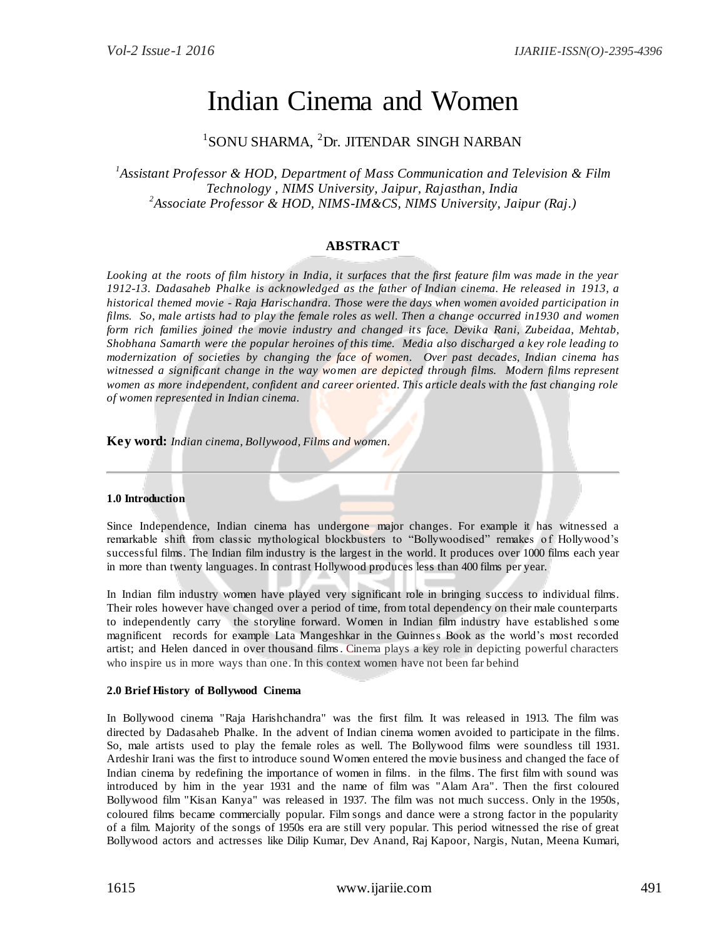# Indian Cinema and Women

# 1 SONU SHARMA, <sup>2</sup>Dr. JITENDAR SINGH NARBAN

*1 Assistant Professor & HOD, Department of Mass Communication and Television & Film Technology , NIMS University, Jaipur, Rajasthan, India 2 Associate Professor & HOD, NIMS-IM&CS, NIMS University, Jaipur (Raj.)*

# **ABSTRACT**

*Looking at the roots of film history in India, it surfaces that the first feature film was made in the year 1912-13. Dadasaheb Phalke is acknowledged as the father of Indian cinema. He released in 1913, a historical themed movie - Raja Harischandra. Those were the days when women avoided participation in films. So, male artists had to play the female roles as well. Then a change occurred in1930 and women form rich families joined the movie industry and changed its face. Devika Rani, Zubeidaa, Mehtab, Shobhana Samarth were the popular heroines of this time. Media also discharged a key role leading to modernization of societies by changing the face of women. Over past decades, Indian cinema has witnessed a significant change in the way women are depicted through films. Modern films represent women as more independent, confident and career oriented. This article deals with the fast changing role of women represented in Indian cinema.* 

**Key word:** *Indian cinema, Bollywood, Films and women.* 

#### **1.0 Introduction**

Since Independence, Indian cinema has undergone major changes. For example it has witnessed a remarkable shift from classic mythological blockbusters to "Bollywoodised" remakes of Hollywood's successful films. The Indian film industry is the largest in the world. It produces over 1000 films each year in more than twenty languages. In contrast Hollywood produces less than 400 films per year.

In Indian film industry women have played very significant role in bringing success to individual films. Their roles however have changed over a period of time, from total dependency on their male counterparts to independently carry the storyline forward. Women in Indian film industry have established s ome magnificent records for example Lata Mangeshkar in the Guinness Book as the world"s most recorded artist; and Helen danced in over thousand films. Cinema plays a key role in depicting powerful characters who inspire us in more ways than one. In this context women have not been far behind

# **2.0 Brief History of Bollywood Cinema**

In Bollywood cinema "Raja Harishchandra" was the first film. It was released in 1913. The film was directed by Dadasaheb Phalke. In the advent of Indian cinema women avoided to participate in the films. So, male artists used to play the female roles as well*.* The Bollywood films were soundless till 1931. Ardeshir Irani was the first to introduce sound Women entered the movie business and changed the face of Indian cinema by redefining the importance of women in films. in the films. The first film with sound was introduced by him in the year 1931 and the name of film was "Alam Ara". Then the first coloured Bollywood film "Kisan Kanya" was released in 1937. The film was not much success. Only in the 1950s, coloured films became commercially popular. Film songs and dance were a strong factor in the popularity of a film. Majority of the songs of 1950s era are still very popular. This period witnessed the rise of great Bollywood actors and actresses like Dilip Kumar, Dev Anand, Raj Kapoor, Nargis, Nutan, Meena Kumari,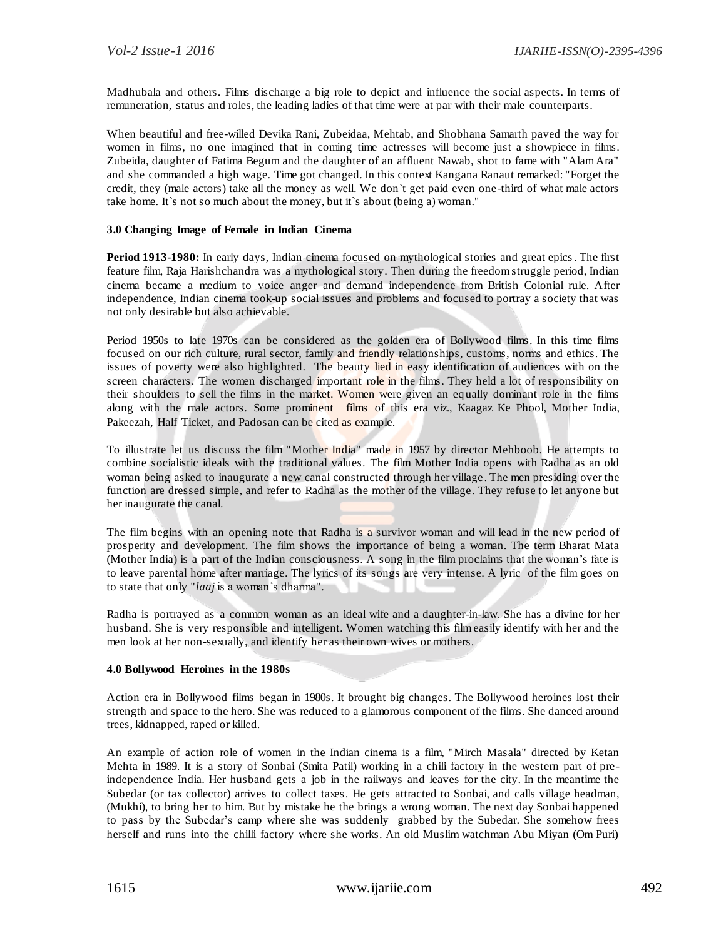Madhubala and others. Films discharge a big role to depict and influence the social aspects. In terms of remuneration, status and roles, the leading ladies of that time were at par with their male counterparts.

When beautiful and free-willed Devika Rani, Zubeidaa, Mehtab, and Shobhana Samarth paved the way for women in films, no one imagined that in coming time actresses will become just a showpiece in films. Zubeida, daughter of Fatima Begum and the daughter of an affluent Nawab, shot to fame with "Alam Ara" and she commanded a high wage. Time got changed. In this context Kangana Ranaut remarked: "Forget the credit, they (male actors) take all the money as well. We don`t get paid even one -third of what male actors take home. It`s not so much about the money, but it`s about (being a) woman."

### **3.0 Changing Image of Female in Indian Cinema**

**Period 1913-1980:** In early days, Indian cinema focused on mythological stories and great epics. The first feature film, Raja Harishchandra was a mythological story. Then during the freedom struggle period, Indian cinema became a medium to voice anger and demand independence from British Colonial rule. After independence, Indian cinema took-up social issues and problems and focused to portray a society that was not only desirable but also achievable.

Period 1950s to late 1970s can be considered as the golden era of Bollywood films. In this time films focused on our rich culture, rural sector, family and friendly relationships, customs, norms and ethics. The issues of poverty were also highlighted. The beauty lied in easy identification of audiences with on the screen characters. The women discharged important role in the films. They held a lot of responsibility on their shoulders to sell the films in the market. Women were given an equally dominant role in the films along with the male actors. Some prominent films of this era viz., Kaagaz Ke Phool, Mother India, Pakeezah, Half Ticket, and Padosan can be cited as example.

To illustrate let us discuss the film "Mother India" made in 1957 by director Mehboob. He attempts to combine socialistic ideals with the traditional values. The film Mother India opens with Radha as an old woman being asked to inaugurate a new canal constructed through her village . The men presiding over the function are dressed simple, and refer to Radha as the mother of the village. They refuse to let anyone but her inaugurate the canal.

The film begins with an opening note that Radha is a survivor woman and will lead in the new period of prosperity and development. The film shows the importance of being a woman. The term Bharat Mata (Mother India) is a part of the Indian consciousness. A song in the film proclaims that the woman"s fate is to leave parental home after marriage. The lyrics of its songs are very intense. A lyric of the film goes on to state that only "*laaj* is a woman"s dharma".

Radha is portrayed as a common woman as an ideal wife and a daughter-in-law. She has a divine for her husband. She is very responsible and intelligent. Women watching this film easily identify with her and the men look at her non-sexually, and identify her as their own wives or mothers.

#### **4.0 Bollywood Heroines in the 1980s**

Action era in Bollywood films began in 1980s. It brought big changes. The Bollywood heroines lost their strength and space to the hero. She was reduced to a glamorous component of the films. She danced around trees, kidnapped, raped or killed.

An example of action role of women in the Indian cinema is a film, "Mirch Masala" directed by Ketan Mehta in 1989. It is a story of Sonbai (Smita Patil) working in a chili factory in the western part of preindependence India. Her husband gets a job in the railways and leaves for the city. In the meantime the Subedar (or tax collector) arrives to collect taxes. He gets attracted to Sonbai, and calls village headman, (Mukhi), to bring her to him. But by mistake he the brings a wrong woman. The next day Sonbai happened to pass by the Subedar"s camp where she was suddenly grabbed by the Subedar. She somehow frees herself and runs into the chilli factory where she works. An old Muslim watchman Abu Miyan (Om Puri)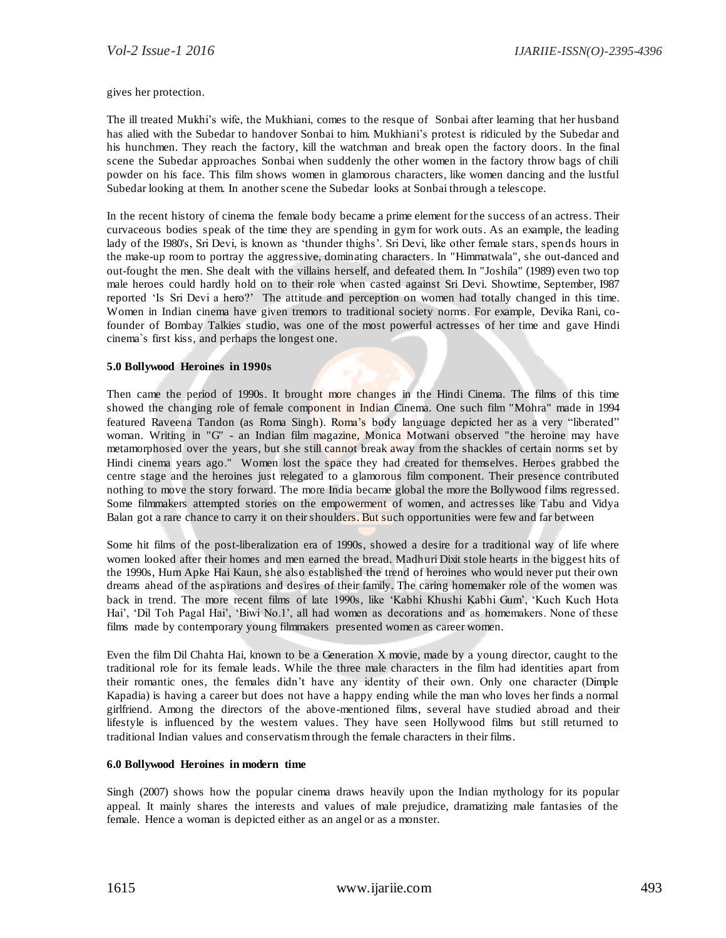gives her protection.

The ill treated Mukhi"s wife, the Mukhiani, comes to the resque of Sonbai after learning that her husband has alied with the Subedar to handover Sonbai to him. Mukhiani's protest is ridiculed by the Subedar and his hunchmen. They reach the factory, kill the watchman and break open the factory doors. In the final scene the Subedar approaches Sonbai when suddenly the other women in the factory throw bags of chili powder on his face. This film shows women in glamorous characters, like women dancing and the lustful Subedar looking at them. In another scene the Subedar looks at Sonbai through a telescope.

In the recent history of cinema the female body became a prime element for the success of an actress. Their curvaceous bodies speak of the time they are spending in gym for work outs. As an example, the leading lady of the I980's, Sri Devi, is known as "thunder thighs". Sri Devi, like other female stars, spends hours in the make-up room to portray the aggressive, dominating characters. In "Himmatwala", she out-danced and out-fought the men. She dealt with the villains herself, and defeated them. In "Joshila" (1989) even two top male heroes could hardly hold on to their role when casted against Sri Devi. Showtime, September, I987 reported "Is Sri Devi a hero?" The attitude and perception on women had totally changed in this time. Women in Indian cinema have given tremors to traditional society norms. For example, Devika Rani, cofounder of Bombay Talkies studio, was one of the most powerful actresses of her time and gave Hindi cinema`s first kiss, and perhaps the longest one.

# **5.0 Bollywood Heroines in 1990s**

Then came the period of 1990s. It brought more changes in the Hindi Cinema. The films of this time showed the changing role of female component in Indian Cinema. One such film "Mohra" made in 1994 featured Raveena Tandon (as Roma Singh). Roma's body language depicted her as a very "liberated" woman. Writing in "G" - an Indian film magazine, Monica Motwani observed "the heroine may have metamorphosed over the years, but she still cannot break away from the shackles of certain norms set by Hindi cinema years ago." Women lost the space they had created for themselves. Heroes grabbed the centre stage and the heroines just relegated to a glamorous film component. Their presence contributed nothing to move the story forward. The more India became global the more the Bollywood films regressed. Some filmmakers attempted stories on the empowerment of women, and actresses like Tabu and Vidya Balan got a rare chance to carry it on their shoulders. But such opportunities were few and far between

Some hit films of the post-liberalization era of 1990s, showed a desire for a traditional way of life where women looked after their homes and men earned the bread. Madhuri Dixit stole hearts in the biggest hits of the 1990s, Hum Apke Hai Kaun, she also established the trend of heroines who would never put their own dreams ahead of the aspirations and desires of their family. The caring homemaker role of the women was back in trend. The more recent films of late 1990s, like "Kabhi Khushi Kabhi Gum", "Kuch Kuch Hota Hai', 'Dil Toh Pagal Hai', 'Biwi No.1', all had women as decorations and as homemakers. None of these films made by contemporary young filmmakers presented women as career women.

Even the film Dil Chahta Hai, known to be a Generation X movie, made by a young director, caught to the traditional role for its female leads. While the three male characters in the film had identities apart from their romantic ones, the females didn"t have any identity of their own. Only one character (Dimple Kapadia) is having a career but does not have a happy ending while the man who loves her finds a normal girlfriend. Among the directors of the above-mentioned films, several have studied abroad and their lifestyle is influenced by the western values. They have seen Hollywood films but still returned to traditional Indian values and conservatism through the female characters in their films.

#### **6.0 Bollywood Heroines in modern time**

Singh (2007) shows how the popular cinema draws heavily upon the Indian mythology for its popular appeal. It mainly shares the interests and values of male prejudice, dramatizing male fantasies of the female. Hence a woman is depicted either as an angel or as a monster.